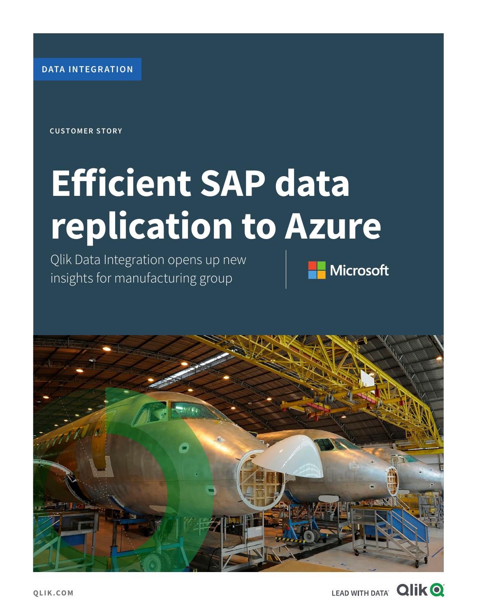**DATA INTEGRATION**

**CUSTOMER STORY**

# **Efficient SAP data replication to Azure**

Qlik Data Integration opens up new insights for manufacturing group





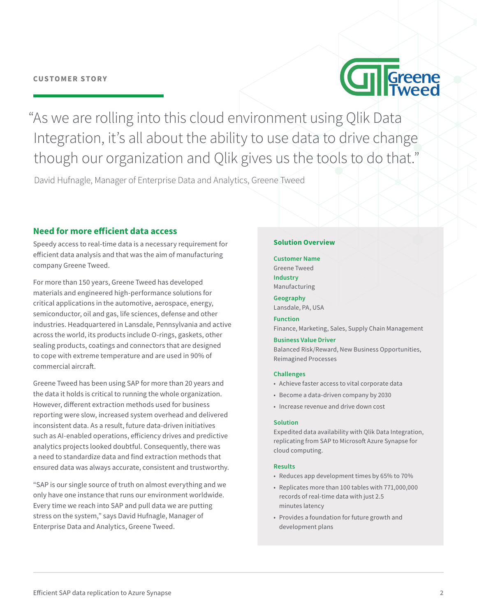### **CUSTOMER STORY**



"As we are rolling into this cloud environment using Qlik Data Integration, it's all about the ability to use data to drive change though our organization and Qlik gives us the tools to do that."

David Hufnagle, Manager of Enterprise Data and Analytics, Greene Tweed

## **Need for more efficient data access**

Speedy access to real-time data is a necessary requirement for efficient data analysis and that was the aim of manufacturing company Greene Tweed.

For more than 150 years, Greene Tweed has developed materials and engineered high-performance solutions for critical applications in the automotive, aerospace, energy, semiconductor, oil and gas, life sciences, defense and other industries. Headquartered in Lansdale, Pennsylvania and active across the world, its products include O-rings, gaskets, other sealing products, coatings and connectors that are designed to cope with extreme temperature and are used in 90% of commercial aircraft.

Greene Tweed has been using SAP for more than 20 years and the data it holds is critical to running the whole organization. However, different extraction methods used for business reporting were slow, increased system overhead and delivered inconsistent data. As a result, future data-driven initiatives such as AI-enabled operations, efficiency drives and predictive analytics projects looked doubtful. Consequently, there was a need to standardize data and find extraction methods that ensured data was always accurate, consistent and trustworthy.

"SAP is our single source of truth on almost everything and we only have one instance that runs our environment worldwide. Every time we reach into SAP and pull data we are putting stress on the system," says David Hufnagle, Manager of Enterprise Data and Analytics, Greene Tweed.

#### **Solution Overview**

**Customer Name**  Greene Tweed **Industry**  Manufacturing

**Geography**  Lansdale, PA, USA

**Function**  Finance, Marketing, Sales, Supply Chain Management

#### **Business Value Driver**

Balanced Risk/Reward, New Business Opportunities, Reimagined Processes

#### **Challenges**

- Achieve faster access to vital corporate data
- Become a data-driven company by 2030
- Increase revenue and drive down cost

#### **Solution**

Expedited data availability with Qlik Data Integration, replicating from SAP to Microsoft Azure Synapse for cloud computing.

#### **Results**

- Reduces app development times by 65% to 70%
- Replicates more than 100 tables with 771,000,000 records of real-time data with just 2.5 minutes latency
- Provides a foundation for future growth and development plans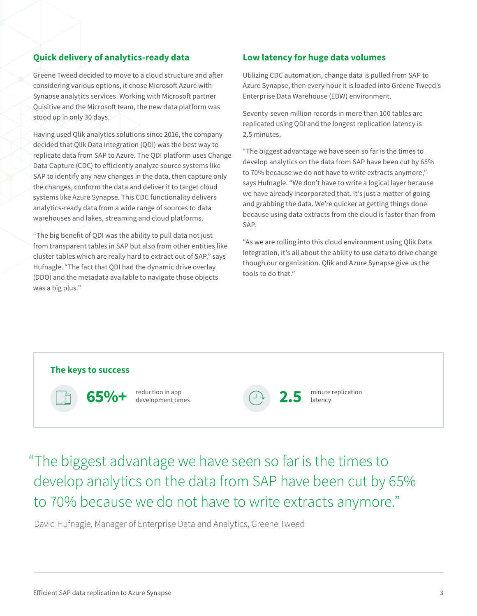# **Quick delivery of analytics-ready data**

Greene Tweed decided to move to a cloud structure and after considering various options, it chose Microsoft Azure with Synapse analytics services. Working with Microsoft partner Quisitive and the Microsoft team, the new data platform was stood up in only 30 days.

Having used Qlik analytics solutions since 2016, the company decided that Qlik Data Integration (QDI) was the best way to replicate data from SAP to Azure. The QDI platform uses Change Data Capture (CDC) to efficiently analyze source systems like SAP to identify any new changes in the data, then capture only the changes, conform the data and deliver it to target cloud systems like Azure Synapse. This CDC functionality delivers analytics-ready data from a wide range of sources to data warehouses and lakes, streaming and cloud platforms.

"The big benefit of QDI was the ability to pull data not just from transparent tables in SAP but also from other entities like cluster tables which are really hard to extract out of SAP," says Hufnagle. "The fact that QDI had the dynamic drive overlay (DDO) and the metadata available to navigate those objects was a big plus."

# **Low latency for huge data volumes**

Utilizing CDC automation, change data is pulled from SAP to Azure Synapse, then every hour it is loaded into Greene Tweed's Enterprise Data Warehouse (EDW) environment.

Seventy-seven million records in more than 100 tables are replicated using QDI and the longest replication latency is 2.5 minutes.

"The biggest advantage we have seen so far is the times to develop analytics on the data from SAP have been cut by 65% to 70% because we do not have to write extracts anymore," says Hufnagle. "We don't have to write a logical layer because we have already incorporated that. It's just a matter of going and grabbing the data. We're quicker at getting things done because using data extracts from the cloud is faster than from SAP.

"As we are rolling into this cloud environment using Qlik Data Integration, it's all about the ability to use data to drive change though our organization. Qlik and Azure Synapse give us the tools to do that."



"The biggest advantage we have seen so far is the times to develop analytics on the data from SAP have been cut by 65% to 70% because we do not have to write extracts anymore."

David Hufnagle, Manager of Enterprise Data and Analytics, Greene Tweed